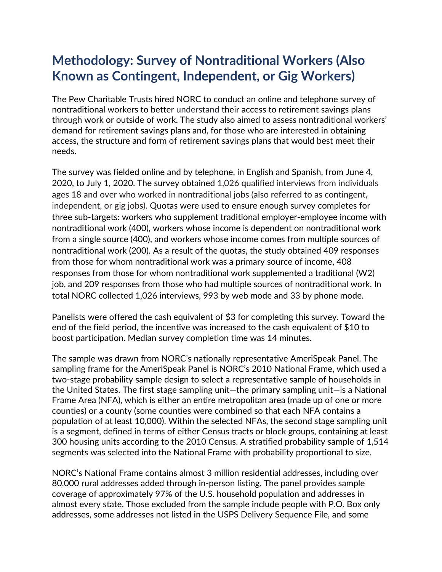## **Methodology: Survey of Nontraditional Workers (Also Known as Contingent, Independent, or Gig Workers)**

The Pew Charitable Trusts hired NORC to conduct an online and telephone survey of nontraditional workers to better understand their access to retirement savings plans through work or outside of work. The study also aimed to assess nontraditional workers' demand for retirement savings plans and, for those who are interested in obtaining access, the structure and form of retirement savings plans that would best meet their needs.

The survey was fielded online and by telephone, in English and Spanish, from June 4, 2020, to July 1, 2020. The survey obtained 1,026 qualified interviews from individuals ages 18 and over who worked in nontraditional jobs (also referred to as contingent, independent, or gig jobs). Quotas were used to ensure enough survey completes for three sub-targets: workers who supplement traditional employer-employee income with nontraditional work (400), workers whose income is dependent on nontraditional work from a single source (400), and workers whose income comes from multiple sources of nontraditional work (200). As a result of the quotas, the study obtained 409 responses from those for whom nontraditional work was a primary source of income, 408 responses from those for whom nontraditional work supplemented a traditional (W2) job, and 209 responses from those who had multiple sources of nontraditional work. In total NORC collected 1,026 interviews, 993 by web mode and 33 by phone mode.

Panelists were offered the cash equivalent of \$3 for completing this survey. Toward the end of the field period, the incentive was increased to the cash equivalent of \$10 to boost participation. Median survey completion time was 14 minutes.

The sample was drawn from NORC's nationally representative AmeriSpeak Panel. The sampling frame for the AmeriSpeak Panel is NORC's 2010 National Frame, which used a two-stage probability sample design to select a representative sample of households in the United States. The first stage sampling unit—the primary sampling unit—is a National Frame Area (NFA), which is either an entire metropolitan area (made up of one or more counties) or a county (some counties were combined so that each NFA contains a population of at least 10,000). Within the selected NFAs, the second stage sampling unit is a segment, defined in terms of either Census tracts or block groups, containing at least 300 housing units according to the 2010 Census. A stratified probability sample of 1,514 segments was selected into the National Frame with probability proportional to size.

NORC's National Frame contains almost 3 million residential addresses, including over 80,000 rural addresses added through in-person listing. The panel provides sample coverage of approximately 97% of the U.S. household population and addresses in almost every state. Those excluded from the sample include people with P.O. Box only addresses, some addresses not listed in the USPS Delivery Sequence File, and some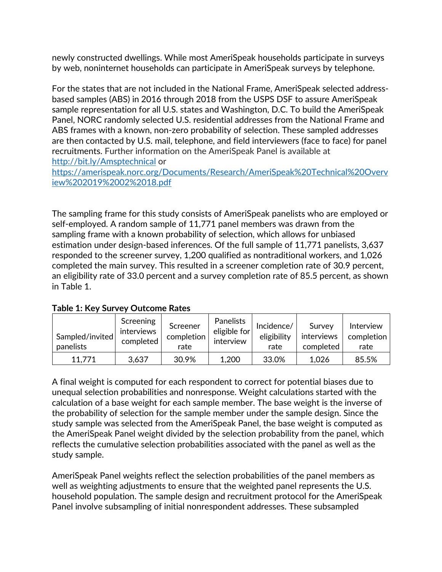newly constructed dwellings. While most AmeriSpeak households participate in surveys by web, noninternet households can participate in AmeriSpeak surveys by telephone.

For the states that are not included in the National Frame, AmeriSpeak selected addressbased samples (ABS) in 2016 through 2018 from the USPS DSF to assure AmeriSpeak sample representation for all U.S. states and Washington, D.C. To build the AmeriSpeak Panel, NORC randomly selected U.S. residential addresses from the National Frame and ABS frames with a known, non-zero probability of selection. These sampled addresses are then contacted by U.S. mail, telephone, and field interviewers (face to face) for panel recruitments. Further information on the AmeriSpeak Panel is available at <http://bit.ly/Amsptechnical> or

[https://amerispeak.norc.org/Documents/Research/AmeriSpeak%20Technical%20Overv](https://amerispeak.norc.org/Documents/Research/AmeriSpeak%20Technical%20Overview%202019%2002%2018.pdf) [iew%202019%2002%2018.pdf](https://amerispeak.norc.org/Documents/Research/AmeriSpeak%20Technical%20Overview%202019%2002%2018.pdf)

The sampling frame for this study consists of AmeriSpeak panelists who are employed or self-employed. A random sample of 11,771 panel members was drawn from the sampling frame with a known probability of selection, which allows for unbiased estimation under design-based inferences. Of the full sample of 11,771 panelists, 3,637 responded to the screener survey, 1,200 qualified as nontraditional workers, and 1,026 completed the main survey. This resulted in a screener completion rate of 30.9 percent, an eligibility rate of 33.0 percent and a survey completion rate of 85.5 percent, as shown in Table 1.

| Sampled/invited<br>panelists | Screening<br>interviews<br>completed | Screener<br>completion<br>rate | Panelists<br>eligible for<br>interview | Incidence/<br>eligibility<br>rate | Survey<br>interviews<br>completed | Interview<br>completion<br>rate |
|------------------------------|--------------------------------------|--------------------------------|----------------------------------------|-----------------------------------|-----------------------------------|---------------------------------|
| 11,771                       | 3,637                                | 30.9%                          | 1,200                                  | 33.0%                             | 1,026                             | 85.5%                           |

**Table 1: Key Survey Outcome Rates**

A final weight is computed for each respondent to correct for potential biases due to unequal selection probabilities and nonresponse. Weight calculations started with the calculation of a base weight for each sample member. The base weight is the inverse of the probability of selection for the sample member under the sample design. Since the study sample was selected from the AmeriSpeak Panel, the base weight is computed as the AmeriSpeak Panel weight divided by the selection probability from the panel, which reflects the cumulative selection probabilities associated with the panel as well as the study sample.

AmeriSpeak Panel weights reflect the selection probabilities of the panel members as well as weighting adjustments to ensure that the weighted panel represents the U.S. household population. The sample design and recruitment protocol for the AmeriSpeak Panel involve subsampling of initial nonrespondent addresses. These subsampled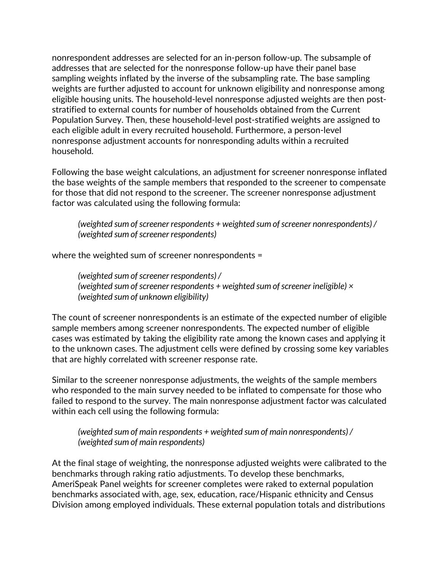nonrespondent addresses are selected for an in-person follow-up. The subsample of addresses that are selected for the nonresponse follow-up have their panel base sampling weights inflated by the inverse of the subsampling rate. The base sampling weights are further adjusted to account for unknown eligibility and nonresponse among eligible housing units. The household-level nonresponse adjusted weights are then poststratified to external counts for number of households obtained from the Current Population Survey. Then, these household-level post-stratified weights are assigned to each eligible adult in every recruited household. Furthermore, a person-level nonresponse adjustment accounts for nonresponding adults within a recruited household.

Following the base weight calculations, an adjustment for screener nonresponse inflated the base weights of the sample members that responded to the screener to compensate for those that did not respond to the screener. The screener nonresponse adjustment factor was calculated using the following formula:

*(weighted sum of screener respondents + weighted sum of screener nonrespondents) / (weighted sum of screener respondents)*

where the weighted sum of screener nonrespondents =

*(weighted sum of screener respondents) / (weighted sum of screener respondents + weighted sum of screener ineligible) × (weighted sum of unknown eligibility)* 

The count of screener nonrespondents is an estimate of the expected number of eligible sample members among screener nonrespondents. The expected number of eligible cases was estimated by taking the eligibility rate among the known cases and applying it to the unknown cases. The adjustment cells were defined by crossing some key variables that are highly correlated with screener response rate.

Similar to the screener nonresponse adjustments, the weights of the sample members who responded to the main survey needed to be inflated to compensate for those who failed to respond to the survey. The main nonresponse adjustment factor was calculated within each cell using the following formula:

*(weighted sum of main respondents + weighted sum of main nonrespondents) / (weighted sum of main respondents)*

At the final stage of weighting, the nonresponse adjusted weights were calibrated to the benchmarks through raking ratio adjustments. To develop these benchmarks, AmeriSpeak Panel weights for screener completes were raked to external population benchmarks associated with, age, sex, education, race/Hispanic ethnicity and Census Division among employed individuals. These external population totals and distributions